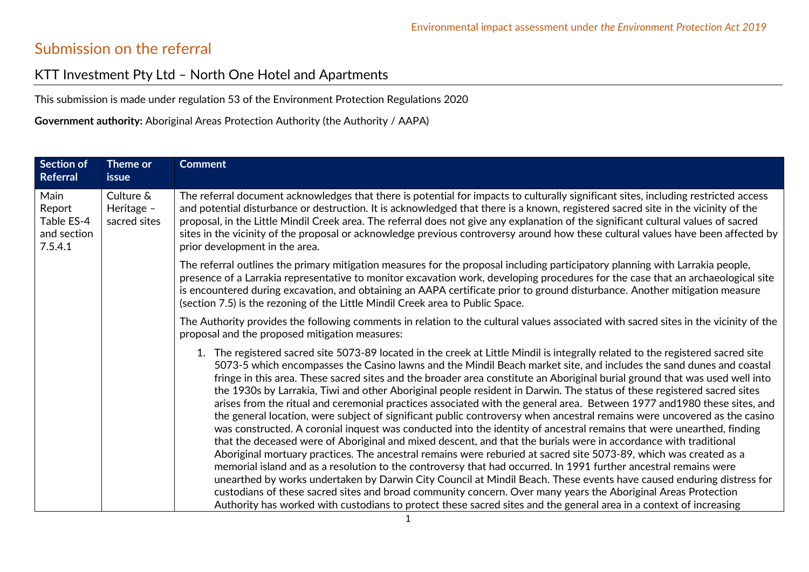## Submission on the referral

## KTT Investment Pty Ltd – North One Hotel and Apartments

This submission is made under regulation 53 of the Environment Protection Regulations 2020

**Government authority:** Aboriginal Areas Protection Authority (the Authority / AAPA)

| Section of<br>Referral                                 | Theme or<br><b>issue</b>                | <b>Comment</b>                                                                                                                                                                                                                                                                                                                                                                                                                                                                                                                                                                                                                                                                                                                                                                                                                                                                                                                                                                                                                                                                                                                                                                                                                                                                                                                                                                                                                                                                                                                                                                                                               |
|--------------------------------------------------------|-----------------------------------------|------------------------------------------------------------------------------------------------------------------------------------------------------------------------------------------------------------------------------------------------------------------------------------------------------------------------------------------------------------------------------------------------------------------------------------------------------------------------------------------------------------------------------------------------------------------------------------------------------------------------------------------------------------------------------------------------------------------------------------------------------------------------------------------------------------------------------------------------------------------------------------------------------------------------------------------------------------------------------------------------------------------------------------------------------------------------------------------------------------------------------------------------------------------------------------------------------------------------------------------------------------------------------------------------------------------------------------------------------------------------------------------------------------------------------------------------------------------------------------------------------------------------------------------------------------------------------------------------------------------------------|
| Main<br>Report<br>Table ES-4<br>and section<br>7.5.4.1 | Culture &<br>Heritage -<br>sacred sites | The referral document acknowledges that there is potential for impacts to culturally significant sites, including restricted access<br>and potential disturbance or destruction. It is acknowledged that there is a known, registered sacred site in the vicinity of the<br>proposal, in the Little Mindil Creek area. The referral does not give any explanation of the significant cultural values of sacred<br>sites in the vicinity of the proposal or acknowledge previous controversy around how these cultural values have been affected by<br>prior development in the area.                                                                                                                                                                                                                                                                                                                                                                                                                                                                                                                                                                                                                                                                                                                                                                                                                                                                                                                                                                                                                                         |
|                                                        |                                         | The referral outlines the primary mitigation measures for the proposal including participatory planning with Larrakia people,<br>presence of a Larrakia representative to monitor excavation work, developing procedures for the case that an archaeological site<br>is encountered during excavation, and obtaining an AAPA certificate prior to ground disturbance. Another mitigation measure<br>(section 7.5) is the rezoning of the Little Mindil Creek area to Public Space.                                                                                                                                                                                                                                                                                                                                                                                                                                                                                                                                                                                                                                                                                                                                                                                                                                                                                                                                                                                                                                                                                                                                           |
|                                                        |                                         | The Authority provides the following comments in relation to the cultural values associated with sacred sites in the vicinity of the<br>proposal and the proposed mitigation measures:                                                                                                                                                                                                                                                                                                                                                                                                                                                                                                                                                                                                                                                                                                                                                                                                                                                                                                                                                                                                                                                                                                                                                                                                                                                                                                                                                                                                                                       |
|                                                        |                                         | 1. The registered sacred site 5073-89 located in the creek at Little Mindil is integrally related to the registered sacred site<br>5073-5 which encompasses the Casino lawns and the Mindil Beach market site, and includes the sand dunes and coastal<br>fringe in this area. These sacred sites and the broader area constitute an Aboriginal burial ground that was used well into<br>the 1930s by Larrakia, Tiwi and other Aboriginal people resident in Darwin. The status of these registered sacred sites<br>arises from the ritual and ceremonial practices associated with the general area. Between 1977 and1980 these sites, and<br>the general location, were subject of significant public controversy when ancestral remains were uncovered as the casino<br>was constructed. A coronial inquest was conducted into the identity of ancestral remains that were unearthed, finding<br>that the deceased were of Aboriginal and mixed descent, and that the burials were in accordance with traditional<br>Aboriginal mortuary practices. The ancestral remains were reburied at sacred site 5073-89, which was created as a<br>memorial island and as a resolution to the controversy that had occurred. In 1991 further ancestral remains were<br>unearthed by works undertaken by Darwin City Council at Mindil Beach. These events have caused enduring distress for<br>custodians of these sacred sites and broad community concern. Over many years the Aboriginal Areas Protection<br>Authority has worked with custodians to protect these sacred sites and the general area in a context of increasing |